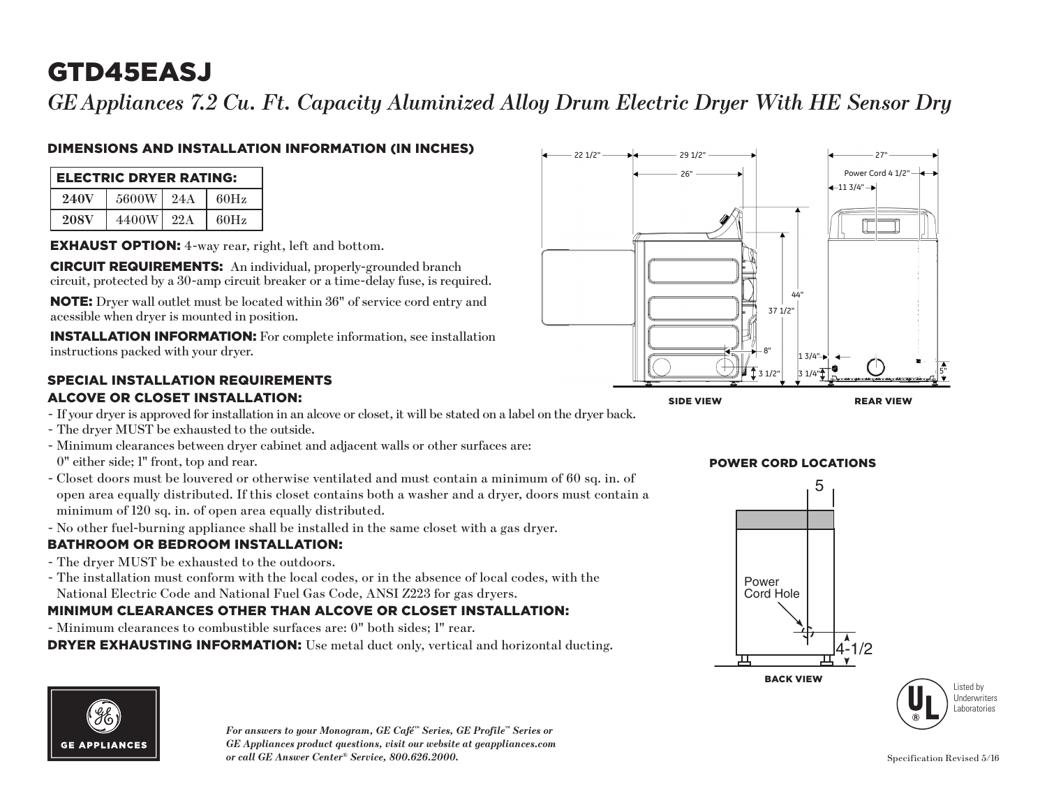# GTD45EASJ

*GEAppliances 7.2 Cu. Ft. Capacity Aluminized Alloy Drum Electric Dryer With HE Sensor Dry*

### DIMENSIONS AND INSTALLATION INFORMATION (IN INCHES)

| <b>ELECTRIC DRYER RATING:</b> |       |     |      |  |  |
|-------------------------------|-------|-----|------|--|--|
| 240V                          | 5600W | 24A | 60Hz |  |  |
| <b>208V</b>                   | 4400W | 22A | 60Hz |  |  |

EXHAUST OPTION: 4-way rear, right, left and bottom.

CIRCUIT REQUIREMENTS: An individual, properly-grounded branch circuit, protected by a 30-amp circuit breaker or a time-delay fuse, is required.

NOTE: Dryer wall outlet must be located within 36" of service cord entry and acessible when dryer is mounted in position.

INSTALLATION INFORMATION: For complete information, see installation instructions packed with your dryer.

#### SPECIAL INSTALLATION REQUIREMENTS ALCOVE OR CLOSET INSTALLATION:

- If your dryer is approved for installation in an alcove or closet, it will be stated on a label on the dryer back.
- The dryer MUST be exhausted to the outside.
- Minimum clearances between dryer cabinet and adjacent walls or other surfaces are: 0" either side; 1" front, top and rear.
- 2 open area equally distributed. If this closet contains both a washer and a dryer, doors must contain a - Closet doors must be louvered or otherwise ventilated and must contain a minimum of 60 sq. in. of minimum of 120 sq. in. of open area equally distributed.
- No other fuel-burning appliance shall be installed in the same closet with a gas dryer.

### BATHROOM OR BEDROOM INSTALLATION:

- The dryer MUST be exhausted to the outdoors.
- The installation must conform with the local codes, or in the absence of local codes, with the National Electric Code and National Fuel Gas Code, ANSI Z223 for gas dryers.

## **NATIONAL ENGLISH CODE AND NATIONAL FUEL OAS CODE, AINST 2225 TOT gas UITSES.**<br>MINIMUM CLEARANCES OTHER THAN ALCOVE OR CLOSET INSTALLATION:

- Minimum clearances to combustible surfaces are: 0" both sides; 1" rear.

DRYER EXHAUSTING INFORMATION: Use metal duct only, vertical and horizontal ducting.





Back View BACK VIEW





*For answers to your Monogram, GE Café™ Series, GE Profile™ Series or GE Appliances product questions, visit our website at geappliances.com or call GE Answer Center® Service, 800.626.2000.* Specification Revised 5/16

## **POWER CORD LOCATIONS**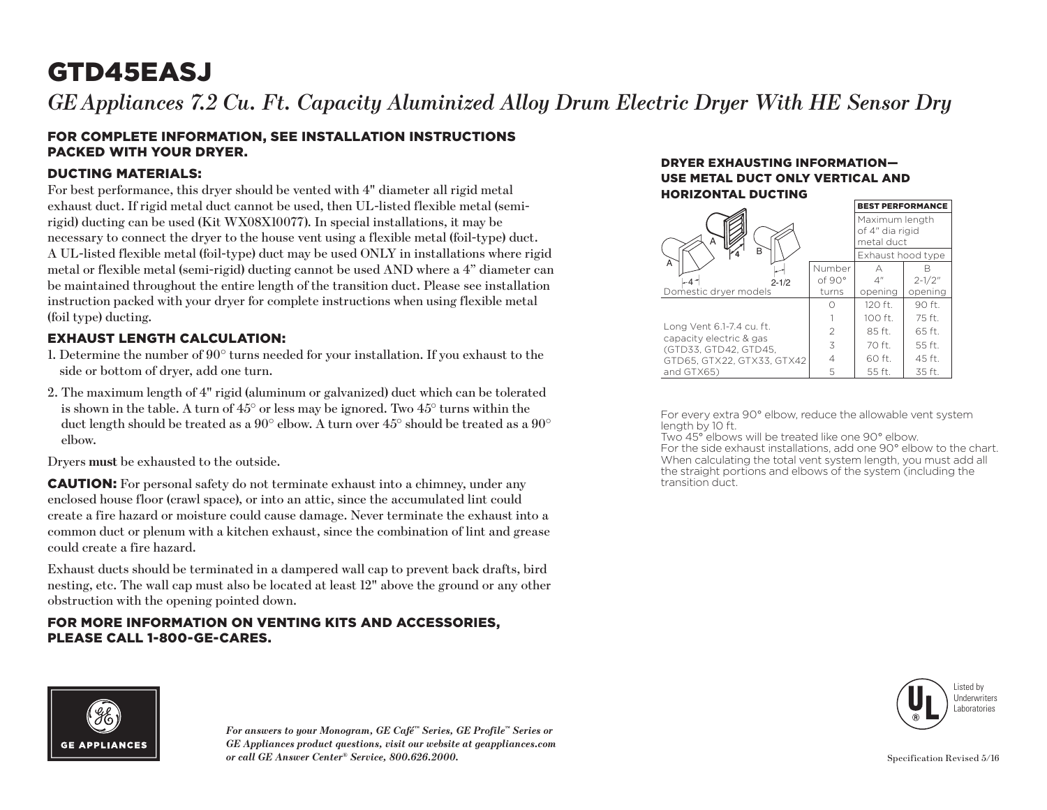# GTD45EASJ

*GE* Appliances 7.2 Cu. Ft. Capacity Aluminized Alloy Drum Electric Dryer With HE Sensor Dry

#### FOR COMPLETE INFORMATION, SEE INSTALLATION INSTRUCTIONS PACKED WITH YOUR DRYER.

#### DUCTING MATERIALS:

For best performance, this dryer should be vented with 4" diameter all rigid metal exhaust duct. If rigid metal duct cannot be used, then UL-listed flexible metal (semirigid) ducting can be used (Kit WX08X10077). In special installations, it may be necessary to connect the dryer to the house vent using a flexible metal (foil-type) duct. A UL-listed flexible metal (foil-type) duct may be used ONLY in installations where rigid metal or flexible metal (semi-rigid) ducting cannot be used AND where a 4" diameter can be maintained throughout the entire length of the transition duct. Please see installation instruction packed with your dryer for complete instructions when using flexible metal (foil type) ducting.

#### EXHAUST LENGTH CALCULATION:

- 1. Determine the number of  $90^{\circ}$  turns needed for your installation. If you exhaust to the side or bottom of dryer, add one turn.
- 2. The maximum length of 4" rigid (aluminum or galvanized) duct which can be tolerated is shown in the table. A turn of  $45^{\circ}$  or less may be ignored. Two  $45^{\circ}$  turns within the duct length should be treated as a 90° elbow. A turn over 45° should be treated as a 90° elbow.

Dryers **must** be exhausted to the outside.

CAUTION: For personal safety do not terminate exhaust into a chimney, under any enclosed house floor (crawl space), or into an attic, since the accumulated lint could create a fire hazard or moisture could cause damage. Never terminate the exhaust into a common duct or plenum with a kitchen exhaust, since the combination of lint and grease could create a fire hazard.

Exhaust ducts should be terminated in a dampered wall cap to prevent back drafts, bird nesting, etc. The wall cap must also be located at least 12" above the ground or any other obstruction with the opening pointed down.

#### FOR MORE INFORMATION ON VENTING KITS AND ACCESSORIES, PLEASE CALL 1-800-GE-CARES.

#### DRYER EXHAUSTING INFORMATION— USE METAL DUCT ONLY VERTICAL AND HORIZONTAL DUCTING

|                                                      | <b>BEST PERFORMANCE</b>                         |                   |            |
|------------------------------------------------------|-------------------------------------------------|-------------------|------------|
| А                                                    | Maximum length<br>of 4" dia rigid<br>metal duct |                   |            |
| B                                                    |                                                 | Exhaust hood type |            |
| А                                                    | Number                                          | А                 |            |
| $2 - 1/2$                                            | of 90°                                          | $\Delta''$        | $2 - 1/2"$ |
| Domestic dryer models                                | turns                                           | opening           | opening    |
|                                                      |                                                 | 120 ft.           | 90 ft.     |
|                                                      |                                                 | $100$ ft.         | 75 ft.     |
| Long Vent 6.1-7.4 cu. ft.<br>capacity electric & gas | $\mathfrak{D}$                                  | 85 ft.            | 65 ft.     |
| (GTD33, GTD42, GTD45,                                | 3                                               | 70 ft.            | 55 ft.     |
| GTD65, GTX22, GTX33, GTX42                           | 4                                               | 60 ft.            | 45 ft.     |
| and GTX65)                                           | 5                                               | 55 ft.            | 35 ft.     |

For every extra 90° elbow, reduce the allowable vent system length by 10 ft.

Two 45° elbows will be treated like one 90° elbow. For the side exhaust installations, add one 90° elbow to the chart. When calculating the total vent system length, you must add all the straight portions and elbows of the system (including the transition duct.